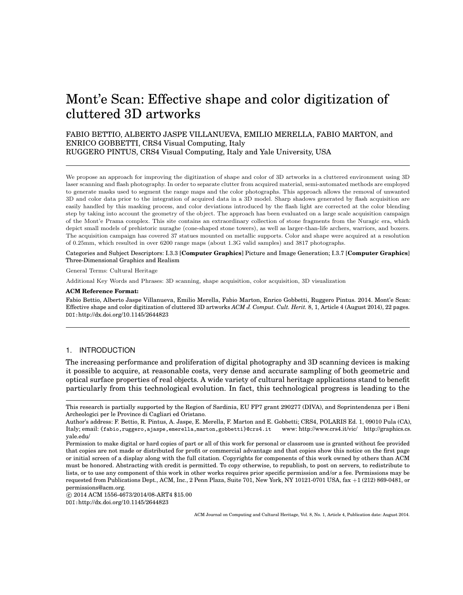# Mont'e Scan: Effective shape and color digitization of cluttered 3D artworks

FABIO BETTIO, ALBERTO JASPE VILLANUEVA, EMILIO MERELLA, FABIO MARTON, and ENRICO GOBBETTI, CRS4 Visual Computing, Italy RUGGERO PINTUS, CRS4 Visual Computing, Italy and Yale University, USA

We propose an approach for improving the digitization of shape and color of 3D artworks in a cluttered environment using 3D laser scanning and flash photography. In order to separate clutter from acquired material, semi-automated methods are employed to generate masks used to segment the range maps and the color photographs. This approach allows the removal of unwanted 3D and color data prior to the integration of acquired data in a 3D model. Sharp shadows generated by flash acquisition are easily handled by this masking process, and color deviations introduced by the flash light are corrected at the color blending step by taking into account the geometry of the object. The approach has been evaluated on a large scale acquisition campaign of the Mont'e Prama complex. This site contains an extraordinary collection of stone fragments from the Nuragic era, which depict small models of prehistoric nuraghe (cone-shaped stone towers), as well as larger-than-life archers, warriors, and boxers. The acquisition campaign has covered 37 statues mounted on metallic supports. Color and shape were acquired at a resolution of 0.25mm, which resulted in over 6200 range maps (about 1.3G valid samples) and 3817 photographs.

Categories and Subject Descriptors: I.3.3 [**Computer Graphics**] Picture and Image Generation; I.3.7 [**Computer Graphics**] Three-Dimensional Graphics and Realism

General Terms: Cultural Heritage

Additional Key Words and Phrases: 3D scanning, shape acquisition, color acquisition, 3D visualization

#### **ACM Reference Format:**

Fabio Bettio, Alberto Jaspe Villanueva, Emilio Merella, Fabio Marton, Enrico Gobbetti, Ruggero Pintus. 2014. Mont'e Scan: Effective shape and color digitization of cluttered 3D artworks *ACM J. Comput. Cult. Herit.* 8, 1, Article 4 (August 2014), 22 pages. DOI:http://dx.doi.org/10.1145/2644823

## 1. INTRODUCTION

The increasing performance and proliferation of digital photography and 3D scanning devices is making it possible to acquire, at reasonable costs, very dense and accurate sampling of both geometric and optical surface properties of real objects. A wide variety of cultural heritage applications stand to benefit particularly from this technological evolution. In fact, this technological progress is leading to the

 $\copyright$  2014 ACM 1556-4673/2014/08-ART4 \$15.00

DOI:http://dx.doi.org/10.1145/2644823

This research is partially supported by the Region of Sardinia, EU FP7 grant 290277 (DIVA), and Soprintendenza per i Beni Archeologici per le Province di Cagliari ed Oristano.

Author's address: F. Bettio, R. Pintus, A. Jaspe, E. Merella, F. Marton and E. Gobbetti; CRS4, POLARIS Ed. 1, 09010 Pula (CA), Italy; email: {fabio,ruggero,ajaspe,emerella,marton,gobbetti}@crs4.it www: http://www.crs4.it/vic/ http://graphics.cs. yale.edu/

Permission to make digital or hard copies of part or all of this work for personal or classroom use is granted without fee provided that copies are not made or distributed for profit or commercial advantage and that copies show this notice on the first page or initial screen of a display along with the full citation. Copyrights for components of this work owned by others than ACM must be honored. Abstracting with credit is permitted. To copy otherwise, to republish, to post on servers, to redistribute to lists, or to use any component of this work in other works requires prior specific permission and/or a fee. Permissions may be requested from Publications Dept., ACM, Inc., 2 Penn Plaza, Suite 701, New York, NY 10121-0701 USA, fax +1 (212) 869-0481, or permissions@acm.org.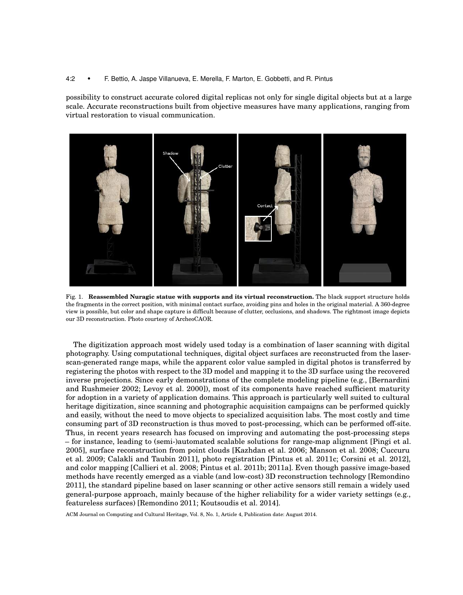#### 4:2 • F. Bettio, A. Jaspe Villanueva, E. Merella, F. Marton, E. Gobbetti, and R. Pintus

possibility to construct accurate colored digital replicas not only for single digital objects but at a large scale. Accurate reconstructions built from objective measures have many applications, ranging from virtual restoration to visual communication.



Fig. 1. **Reassembled Nuragic statue with supports and its virtual reconstruction.** The black support structure holds the fragments in the correct position, with minimal contact surface, avoiding pins and holes in the original material. A 360-degree view is possible, but color and shape capture is difficult because of clutter, occlusions, and shadows. The rightmost image depicts our 3D reconstruction. Photo courtesy of ArcheoCAOR.

The digitization approach most widely used today is a combination of laser scanning with digital photography. Using computational techniques, digital object surfaces are reconstructed from the laserscan-generated range maps, while the apparent color value sampled in digital photos is transferred by registering the photos with respect to the 3D model and mapping it to the 3D surface using the recovered inverse projections. Since early demonstrations of the complete modeling pipeline (e.g., [Bernardini and Rushmeier 2002; Levoy et al. 2000]), most of its components have reached sufficient maturity for adoption in a variety of application domains. This approach is particularly well suited to cultural heritage digitization, since scanning and photographic acquisition campaigns can be performed quickly and easily, without the need to move objects to specialized acquisition labs. The most costly and time consuming part of 3D reconstruction is thus moved to post-processing, which can be performed off-site. Thus, in recent years research has focused on improving and automating the post-processing steps – for instance, leading to (semi-)automated scalable solutions for range-map alignment [Pingi et al. 2005], surface reconstruction from point clouds [Kazhdan et al. 2006; Manson et al. 2008; Cuccuru et al. 2009; Calakli and Taubin 2011], photo registration [Pintus et al. 2011c; Corsini et al. 2012], and color mapping [Callieri et al. 2008; Pintus et al. 2011b; 2011a]. Even though passive image-based methods have recently emerged as a viable (and low-cost) 3D reconstruction technology [Remondino 2011], the standard pipeline based on laser scanning or other active sensors still remain a widely used general-purpose approach, mainly because of the higher reliability for a wider variety settings (e.g., featureless surfaces) [Remondino 2011; Koutsoudis et al. 2014].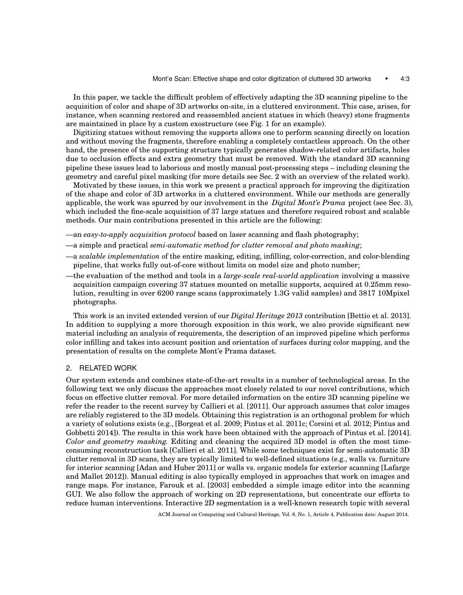In this paper, we tackle the difficult problem of effectively adapting the 3D scanning pipeline to the acquisition of color and shape of 3D artworks on-site, in a cluttered environment. This case, arises, for instance, when scanning restored and reassembled ancient statues in which (heavy) stone fragments are maintained in place by a custom exostructure (see Fig. 1 for an example).

Digitizing statues without removing the supports allows one to perform scanning directly on location and without moving the fragments, therefore enabling a completely contactless approach. On the other hand, the presence of the supporting structure typically generates shadow-related color artifacts, holes due to occlusion effects and extra geometry that must be removed. With the standard 3D scanning pipeline these issues lead to laborious and mostly manual post-processing steps – including cleaning the geometry and careful pixel masking (for more details see Sec. 2 with an overview of the related work).

Motivated by these issues, in this work we present a practical approach for improving the digitization of the shape and color of 3D artworks in a cluttered environment. While our methods are generally applicable, the work was spurred by our involvement in the *Digital Mont'e Prama* project (see Sec. 3), which included the fine-scale acquisition of 37 large statues and therefore required robust and scalable methods. Our main contributions presented in this article are the following:

—an *easy-to-apply acquisition protocol* based on laser scanning and flash photography;

- —a simple and practical *semi-automatic method for clutter removal and photo masking*;
- —a *scalable implementation* of the entire masking, editing, infilling, color-correction, and color-blending pipeline, that works fully out-of-core without limits on model size and photo number;
- —the evaluation of the method and tools in a *large-scale real-world application* involving a massive acquisition campaign covering 37 statues mounted on metallic supports, acquired at 0.25mm resolution, resulting in over 6200 range scans (approximately 1.3G valid samples) and 3817 10Mpixel photographs.

This work is an invited extended version of our *Digital Heritage 2013* contribution [Bettio et al. 2013]. In addition to supplying a more thorough exposition in this work, we also provide significant new material including an analysis of requirements, the description of an improved pipeline which performs color infilling and takes into account position and orientation of surfaces during color mapping, and the presentation of results on the complete Mont'e Prama dataset.

#### 2. RELATED WORK

Our system extends and combines state-of-the-art results in a number of technological areas. In the following text we only discuss the approaches most closely related to our novel contributions, which focus on effective clutter removal. For more detailed information on the entire 3D scanning pipeline we refer the reader to the recent survey by Callieri et al. [2011]. Our approach assumes that color images are reliably registered to the 3D models. Obtaining this registration is an orthogonal problem for which a variety of solutions exists (e.g., [Borgeat et al. 2009; Pintus et al. 2011c; Corsini et al. 2012; Pintus and Gobbetti 2014]). The results in this work have been obtained with the approach of Pintus et al. [2014]. *Color and geometry masking.* Editing and cleaning the acquired 3D model is often the most timeconsuming reconstruction task [Callieri et al. 2011]. While some techniques exist for semi-automatic 3D clutter removal in 3D scans, they are typically limited to well-defined situations (e.g., walls vs. furniture for interior scanning [Adan and Huber 2011] or walls vs. organic models for exterior scanning [Lafarge and Mallet 2012]). Manual editing is also typically employed in approaches that work on images and range maps. For instance, Farouk et al. [2003] embedded a simple image editor into the scanning GUI. We also follow the approach of working on 2D representations, but concentrate our efforts to reduce human interventions. Interactive 2D segmentation is a well-known research topic with several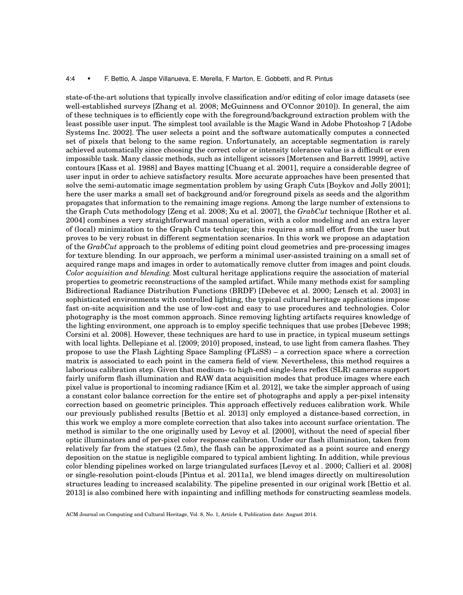#### 4:4 • F. Bettio, A. Jaspe Villanueva, E. Merella, F. Marton, E. Gobbetti, and R. Pintus

state-of-the-art solutions that typically involve classification and/or editing of color image datasets (see well-established surveys [Zhang et al. 2008; McGuinness and O'Connor 2010]). In general, the aim of these techniques is to efficiently cope with the foreground/background extraction problem with the least possible user input. The simplest tool available is the Magic Wand in Adobe Photoshop 7 [Adobe Systems Inc. 2002]. The user selects a point and the software automatically computes a connected set of pixels that belong to the same region. Unfortunately, an acceptable segmentation is rarely achieved automatically since choosing the correct color or intensity tolerance value is a difficult or even impossible task. Many classic methods, such as intelligent scissors [Mortensen and Barrett 1999], active contours [Kass et al. 1988] and Bayes matting [Chuang et al. 2001], require a considerable degree of user input in order to achieve satisfactory results. More accurate approaches have been presented that solve the semi-automatic image segmentation problem by using Graph Cuts [Boykov and Jolly 2001]; here the user marks a small set of background and/or foreground pixels as seeds and the algorithm propagates that information to the remaining image regions. Among the large number of extensions to the Graph Cuts methodology [Zeng et al. 2008; Xu et al. 2007], the *GrabCut* technique [Rother et al. 2004] combines a very straightforward manual operation, with a color modeling and an extra layer of (local) minimization to the Graph Cuts technique; this requires a small effort from the user but proves to be very robust in different segmentation scenarios. In this work we propose an adaptation of the *GrabCut* approach to the problems of editing point cloud geometries and pre-processing images for texture blending. In our approach, we perform a minimal user-assisted training on a small set of acquired range maps and images in order to automatically remove clutter from images and point clouds. *Color acquisition and blending.* Most cultural heritage applications require the association of material properties to geometric reconstructions of the sampled artifact. While many methods exist for sampling Bidirectional Radiance Distribution Functions (BRDF) [Debevec et al. 2000; Lensch et al. 2003] in sophisticated environments with controlled lighting, the typical cultural heritage applications impose fast on-site acquisition and the use of low-cost and easy to use procedures and technologies. Color photography is the most common approach. Since removing lighting artifacts requires knowledge of the lighting environment, one approach is to employ specific techniques that use probes [Debevec 1998; Corsini et al. 2008]. However, these techniques are hard to use in practice, in typical museum settings with local lights. Dellepiane et al. [2009; 2010] proposed, instead, to use light from camera flashes. They propose to use the Flash Lighting Space Sampling (FLiSS) – a correction space where a correction matrix is associated to each point in the camera field of view. Nevertheless, this method requires a laborious calibration step. Given that medium- to high-end single-lens reflex (SLR) cameras support fairly uniform flash illumination and RAW data acquisition modes that produce images where each pixel value is proportional to incoming radiance [Kim et al. 2012], we take the simpler approach of using a constant color balance correction for the entire set of photographs and apply a per-pixel intensity correction based on geometric principles. This approach effectively reduces calibration work. While our previously published results [Bettio et al. 2013] only employed a distance-based correction, in this work we employ a more complete correction that also takes into account surface orientation. The method is similar to the one originally used by Levoy et al. [2000], without the need of special fiber optic illuminators and of per-pixel color response calibration. Under our flash illumination, taken from relatively far from the statues (2.5m), the flash can be approximated as a point source and energy deposition on the statue is negligible compared to typical ambient lighting. In addition, while previous color blending pipelines worked on large triangulated surfaces [Levoy et al . 2000; Callieri et al. 2008] or single-resolution point-clouds [Pintus et al. 2011a], we blend images directly on multiresolution structures leading to increased scalability. The pipeline presented in our original work [Bettio et al. 2013] is also combined here with inpainting and infilling methods for constructing seamless models.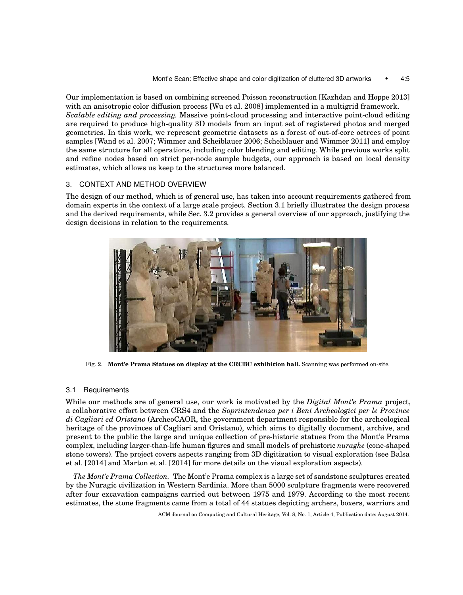Our implementation is based on combining screened Poisson reconstruction [Kazhdan and Hoppe 2013] with an anisotropic color diffusion process [Wu et al. 2008] implemented in a multigrid framework. *Scalable editing and processing.* Massive point-cloud processing and interactive point-cloud editing are required to produce high-quality 3D models from an input set of registered photos and merged geometries. In this work, we represent geometric datasets as a forest of out-of-core octrees of point samples [Wand et al. 2007; Wimmer and Scheiblauer 2006; Scheiblauer and Wimmer 2011] and employ the same structure for all operations, including color blending and editing. While previous works split and refine nodes based on strict per-node sample budgets, our approach is based on local density estimates, which allows us keep to the structures more balanced.

# 3. CONTEXT AND METHOD OVERVIEW

The design of our method, which is of general use, has taken into account requirements gathered from domain experts in the context of a large scale project. Section 3.1 briefly illustrates the design process and the derived requirements, while Sec. 3.2 provides a general overview of our approach, justifying the design decisions in relation to the requirements.



Fig. 2. **Mont'e Prama Statues on display at the CRCBC exhibition hall.** Scanning was performed on-site.

# 3.1 Requirements

While our methods are of general use, our work is motivated by the *Digital Mont'e Prama* project, a collaborative effort between CRS4 and the *Soprintendenza per i Beni Archeologici per le Province di Cagliari ed Oristano* (ArcheoCAOR, the government department responsible for the archeological heritage of the provinces of Cagliari and Oristano), which aims to digitally document, archive, and present to the public the large and unique collection of pre-historic statues from the Mont'e Prama complex, including larger-than-life human figures and small models of prehistoric *nuraghe* (cone-shaped stone towers). The project covers aspects ranging from 3D digitization to visual exploration (see Balsa et al. [2014] and Marton et al. [2014] for more details on the visual exploration aspects).

*The Mont'e Prama Collection.* The Mont'e Prama complex is a large set of sandstone sculptures created by the Nuragic civilization in Western Sardinia. More than 5000 sculpture fragments were recovered after four excavation campaigns carried out between 1975 and 1979. According to the most recent estimates, the stone fragments came from a total of 44 statues depicting archers, boxers, warriors and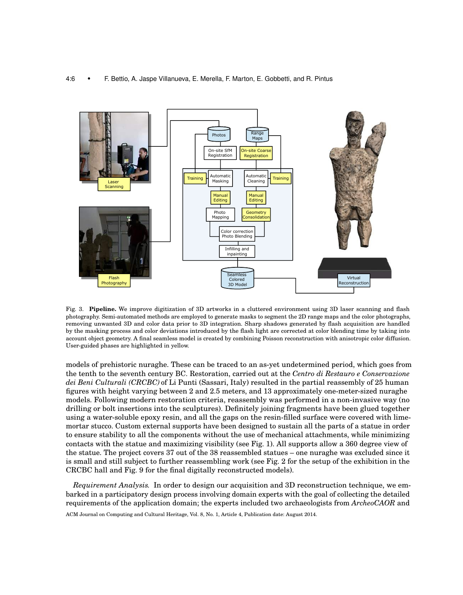#### 4:6 • F. Bettio, A. Jaspe Villanueva, E. Merella, F. Marton, E. Gobbetti, and R. Pintus



Fig. 3. **Pipeline.** We improve digitization of 3D artworks in a cluttered environment using 3D laser scanning and flash photography. Semi-automated methods are employed to generate masks to segment the 2D range maps and the color photographs, removing unwanted 3D and color data prior to 3D integration. Sharp shadows generated by flash acquisition are handled by the masking process and color deviations introduced by the flash light are corrected at color blending time by taking into account object geometry. A final seamless model is created by combining Poisson reconstruction with anisotropic color diffusion. User-guided phases are highlighted in yellow.

models of prehistoric nuraghe. These can be traced to an as-yet undetermined period, which goes from the tenth to the seventh century BC. Restoration, carried out at the *Centro di Restauro e Conservazione dei Beni Culturali (CRCBC)* of Li Punti (Sassari, Italy) resulted in the partial reassembly of 25 human figures with height varying between 2 and 2.5 meters, and 13 approximately one-meter-sized nuraghe models. Following modern restoration criteria, reassembly was performed in a non-invasive way (no drilling or bolt insertions into the sculptures). Definitely joining fragments have been glued together using a water-soluble epoxy resin, and all the gaps on the resin-filled surface were covered with limemortar stucco. Custom external supports have been designed to sustain all the parts of a statue in order to ensure stability to all the components without the use of mechanical attachments, while minimizing contacts with the statue and maximizing visibility (see Fig. 1). All supports allow a 360 degree view of the statue. The project covers 37 out of the 38 reassembled statues – one nuraghe was excluded since it is small and still subject to further reassembling work (see Fig. 2 for the setup of the exhibition in the CRCBC hall and Fig. 9 for the final digitally reconstructed models).

*Requirement Analysis.* In order to design our acquisition and 3D reconstruction technique, we embarked in a participatory design process involving domain experts with the goal of collecting the detailed requirements of the application domain; the experts included two archaeologists from *ArcheoCAOR* and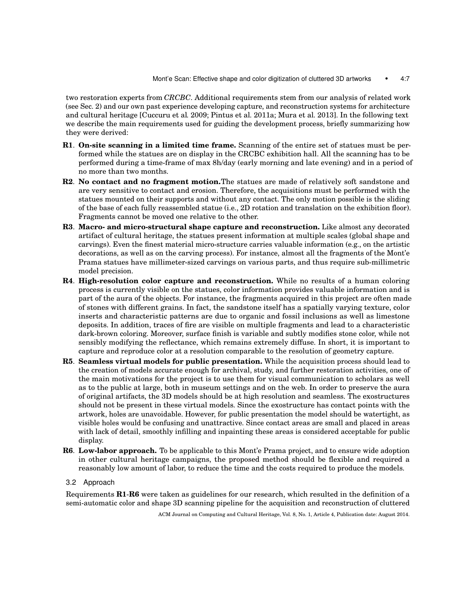two restoration experts from *CRCBC*. Additional requirements stem from our analysis of related work (see Sec. 2) and our own past experience developing capture, and reconstruction systems for architecture and cultural heritage [Cuccuru et al. 2009; Pintus et al. 2011a; Mura et al. 2013]. In the following text we describe the main requirements used for guiding the development process, briefly summarizing how they were derived:

- **R1**. **On-site scanning in a limited time frame.** Scanning of the entire set of statues must be performed while the statues are on display in the CRCBC exhibition hall. All the scanning has to be performed during a time-frame of max 8h/day (early morning and late evening) and in a period of no more than two months.
- **R2**. **No contact and no fragment motion.**The statues are made of relatively soft sandstone and are very sensitive to contact and erosion. Therefore, the acquisitions must be performed with the statues mounted on their supports and without any contact. The only motion possible is the sliding of the base of each fully reassembled statue (i.e., 2D rotation and translation on the exhibition floor). Fragments cannot be moved one relative to the other.
- **R3**. **Macro- and micro-structural shape capture and reconstruction.** Like almost any decorated artifact of cultural heritage, the statues present information at multiple scales (global shape and carvings). Even the finest material micro-structure carries valuable information (e.g., on the artistic decorations, as well as on the carving process). For instance, almost all the fragments of the Mont'e Prama statues have millimeter-sized carvings on various parts, and thus require sub-millimetric model precision.
- **R4**. **High-resolution color capture and reconstruction.** While no results of a human coloring process is currently visible on the statues, color information provides valuable information and is part of the aura of the objects. For instance, the fragments acquired in this project are often made of stones with different grains. In fact, the sandstone itself has a spatially varying texture, color inserts and characteristic patterns are due to organic and fossil inclusions as well as limestone deposits. In addition, traces of fire are visible on multiple fragments and lead to a characteristic dark-brown coloring. Moreover, surface finish is variable and subtly modifies stone color, while not sensibly modifying the reflectance, which remains extremely diffuse. In short, it is important to capture and reproduce color at a resolution comparable to the resolution of geometry capture.
- **R5**. **Seamless virtual models for public presentation.** While the acquisition process should lead to the creation of models accurate enough for archival, study, and further restoration activities, one of the main motivations for the project is to use them for visual communication to scholars as well as to the public at large, both in museum settings and on the web. In order to preserve the aura of original artifacts, the 3D models should be at high resolution and seamless. The exostructures should not be present in these virtual models. Since the exostructure has contact points with the artwork, holes are unavoidable. However, for public presentation the model should be watertight, as visible holes would be confusing and unattractive. Since contact areas are small and placed in areas with lack of detail, smoothly infilling and inpainting these areas is considered acceptable for public display.
- **R6**. **Low-labor approach.** To be applicable to this Mont'e Prama project, and to ensure wide adoption in other cultural heritage campaigns, the proposed method should be flexible and required a reasonably low amount of labor, to reduce the time and the costs required to produce the models.

## 3.2 Approach

Requirements **R1**-**R6** were taken as guidelines for our research, which resulted in the definition of a semi-automatic color and shape 3D scanning pipeline for the acquisition and reconstruction of cluttered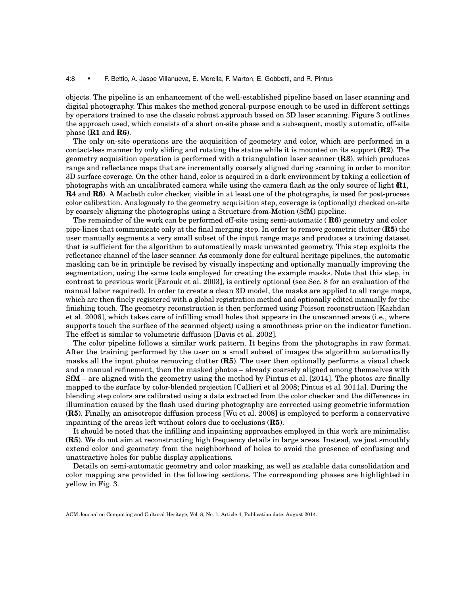#### 4:8 • F. Bettio, A. Jaspe Villanueva, E. Merella, F. Marton, E. Gobbetti, and R. Pintus

objects. The pipeline is an enhancement of the well-established pipeline based on laser scanning and digital photography. This makes the method general-purpose enough to be used in different settings by operators trained to use the classic robust approach based on 3D laser scanning. Figure 3 outlines the approach used, which consists of a short on-site phase and a subsequent, mostly automatic, off-site phase (**R1** and **R6**).

The only on-site operations are the acquisition of geometry and color, which are performed in a contact-less manner by only sliding and rotating the statue while it is mounted on its support (**R2**). The geometry acquisition operation is performed with a triangulation laser scanner (**R3**), which produces range and reflectance maps that are incrementally coarsely aligned during scanning in order to monitor 3D surface coverage. On the other hand, color is acquired in a dark environment by taking a collection of photographs with an uncalibrated camera while using the camera flash as the only source of light (**R1**, **R4** and **R6**). A Macbeth color checker, visible in at least one of the photographs, is used for post-process color calibration. Analogously to the geometry acquisition step, coverage is (optionally) checked on-site by coarsely aligning the photographs using a Structure-from-Motion (SfM) pipeline.

The remainder of the work can be performed off-site using semi-automatic ( **R6**) geometry and color pipe-lines that communicate only at the final merging step. In order to remove geometric clutter (**R5**) the user manually segments a very small subset of the input range maps and produces a training dataset that is sufficient for the algorithm to automatically mask unwanted geometry. This step exploits the reflectance channel of the laser scanner. As commonly done for cultural heritage pipelines, the automatic masking can be in principle be revised by visually inspecting and optionally manually improving the segmentation, using the same tools employed for creating the example masks. Note that this step, in contrast to previous work [Farouk et al. 2003], is entirely optional (see Sec. 8 for an evaluation of the manual labor required). In order to create a clean 3D model, the masks are applied to all range maps, which are then finely registered with a global registration method and optionally edited manually for the finishing touch. The geometry reconstruction is then performed using Poisson reconstruction [Kazhdan et al. 2006], which takes care of infilling small holes that appears in the unscanned areas (i.e., where supports touch the surface of the scanned object) using a smoothness prior on the indicator function. The effect is similar to volumetric diffusion [Davis et al. 2002].

The color pipeline follows a similar work pattern. It begins from the photographs in raw format. After the training performed by the user on a small subset of images the algorithm automatically masks all the input photos removing clutter (**R5**). The user then optionally performs a visual check and a manual refinement, then the masked photos – already coarsely aligned among themselves with SfM – are aligned with the geometry using the method by Pintus et al. [2014]. The photos are finally mapped to the surface by color-blended projection [Callieri et al. 2008; Pintus et al. 2011a]. During the blending step colors are calibrated using a data extracted from the color checker and the differences in illumination caused by the flash used during photography are corrected using geometric information (**R5**). Finally, an anisotropic diffusion process [Wu et al. 2008] is employed to perform a conservative inpainting of the areas left without colors due to occlusions (**R5**).

It should be noted that the infilling and inpainting approaches employed in this work are minimalist (**R5**). We do not aim at reconstructing high frequency details in large areas. Instead, we just smoothly extend color and geometry from the neighborhood of holes to avoid the presence of confusing and unattractive holes for public display applications.

Details on semi-automatic geometry and color masking, as well as scalable data consolidation and color mapping are provided in the following sections. The corresponding phases are highlighted in yellow in Fig. 3.

ACM Journal on Computing and Cultural Heritage, Vol. 8, No. 1, Article 4, Publication date: August 2014.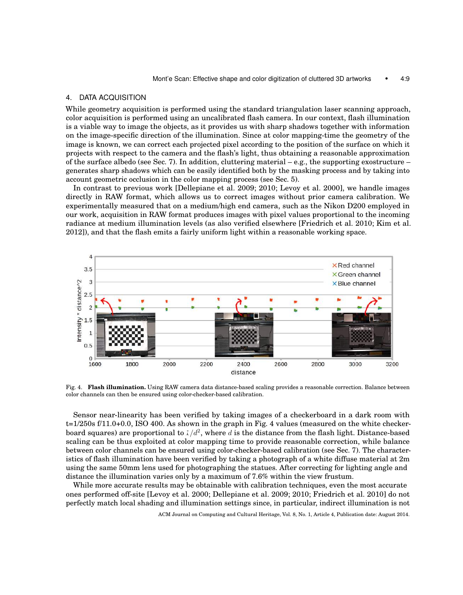#### 4. DATA ACQUISITION

While geometry acquisition is performed using the standard triangulation laser scanning approach, color acquisition is performed using an uncalibrated flash camera. In our context, flash illumination is a viable way to image the objects, as it provides us with sharp shadows together with information on the image-specific direction of the illumination. Since at color mapping-time the geometry of the image is known, we can correct each projected pixel according to the position of the surface on which it projects with respect to the camera and the flash's light, thus obtaining a reasonable approximation of the surface albedo (see Sec. 7). In addition, cluttering material  $-e.g.,$  the supporting exostructure – generates sharp shadows which can be easily identified both by the masking process and by taking into account geometric occlusion in the color mapping process (see Sec. 5).

In contrast to previous work [Dellepiane et al. 2009; 2010; Levoy et al. 2000], we handle images directly in RAW format, which allows us to correct images without prior camera calibration. We experimentally measured that on a medium/high end camera, such as the Nikon D200 employed in our work, acquisition in RAW format produces images with pixel values proportional to the incoming radiance at medium illumination levels (as also verified elsewhere [Friedrich et al. 2010; Kim et al. 2012]), and that the flash emits a fairly uniform light within a reasonable working space.



Fig. 4. **Flash illumination.** Using RAW camera data distance-based scaling provides a reasonable correction. Balance between color channels can then be ensured using color-checker-based calibration.

Sensor near-linearity has been verified by taking images of a checkerboard in a dark room with t=1/250s f/11.0+0.0, ISO 400. As shown in the graph in Fig. 4 values (measured on the white checkerboard squares) are proportional to  $1/d^2$ , where d is the distance from the flash light. Distance-based scaling can be thus exploited at color mapping time to provide reasonable correction, while balance between color channels can be ensured using color-checker-based calibration (see Sec. 7). The characteristics of flash illumination have been verified by taking a photograph of a white diffuse material at 2m using the same 50mm lens used for photographing the statues. After correcting for lighting angle and distance the illumination varies only by a maximum of 7.6% within the view frustum.

While more accurate results may be obtainable with calibration techniques, even the most accurate ones performed off-site [Levoy et al. 2000; Dellepiane et al. 2009; 2010; Friedrich et al. 2010] do not perfectly match local shading and illumination settings since, in particular, indirect illumination is not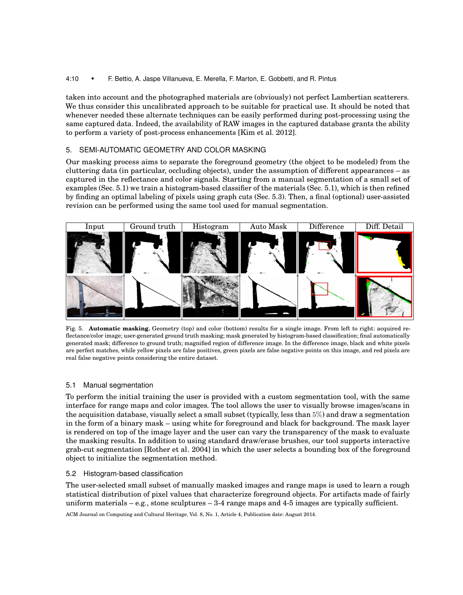# 4:10 • F. Bettio, A. Jaspe Villanueva, E. Merella, F. Marton, E. Gobbetti, and R. Pintus

taken into account and the photographed materials are (obviously) not perfect Lambertian scatterers. We thus consider this uncalibrated approach to be suitable for practical use. It should be noted that whenever needed these alternate techniques can be easily performed during post-processing using the same captured data. Indeed, the availability of RAW images in the captured database grants the ability to perform a variety of post-process enhancements [Kim et al. 2012].

# 5. SEMI-AUTOMATIC GEOMETRY AND COLOR MASKING

Our masking process aims to separate the foreground geometry (the object to be modeled) from the cluttering data (in particular, occluding objects), under the assumption of different appearances – as captured in the reflectance and color signals. Starting from a manual segmentation of a small set of examples (Sec. 5.1) we train a histogram-based classifier of the materials (Sec. 5.1), which is then refined by finding an optimal labeling of pixels using graph cuts (Sec. 5.3). Then, a final (optional) user-assisted revision can be performed using the same tool used for manual segmentation.



Fig. 5. **Automatic masking.** Geometry (top) and color (bottom) results for a single image. From left to right: acquired reflectance/color image; user-generated ground truth masking; mask generated by histogram-based classification; final automatically generated mask; difference to ground truth; magnified region of difference image. In the difference image, black and white pixels are perfect matches, while yellow pixels are false positives, green pixels are false negative points on this image, and red pixels are real false negative points considering the entire dataset.

# 5.1 Manual segmentation

To perform the initial training the user is provided with a custom segmentation tool, with the same interface for range maps and color images. The tool allows the user to visually browse images/scans in the acquisition database, visually select a small subset (typically, less than 5%) and draw a segmentation in the form of a binary mask – using white for foreground and black for background. The mask layer is rendered on top of the image layer and the user can vary the transparency of the mask to evaluate the masking results. In addition to using standard draw/erase brushes, our tool supports interactive grab-cut segmentation [Rother et al. 2004] in which the user selects a bounding box of the foreground object to initialize the segmentation method.

# 5.2 Histogram-based classification

The user-selected small subset of manually masked images and range maps is used to learn a rough statistical distribution of pixel values that characterize foreground objects. For artifacts made of fairly uniform materials – e.g., stone sculptures – 3-4 range maps and 4-5 images are typically sufficient.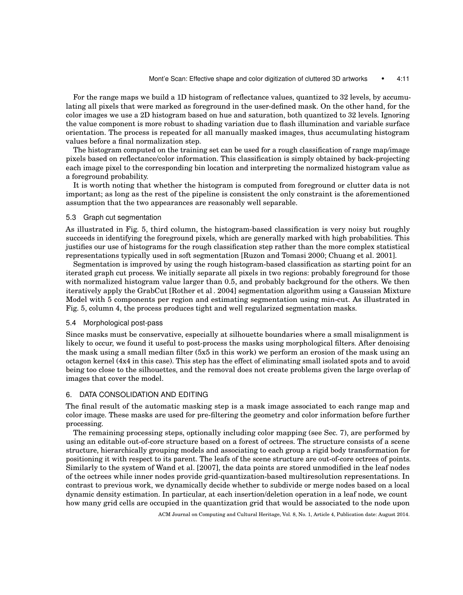For the range maps we build a 1D histogram of reflectance values, quantized to 32 levels, by accumulating all pixels that were marked as foreground in the user-defined mask. On the other hand, for the color images we use a 2D histogram based on hue and saturation, both quantized to 32 levels. Ignoring the value component is more robust to shading variation due to flash illumination and variable surface orientation. The process is repeated for all manually masked images, thus accumulating histogram values before a final normalization step.

The histogram computed on the training set can be used for a rough classification of range map/image pixels based on reflectance/color information. This classification is simply obtained by back-projecting each image pixel to the corresponding bin location and interpreting the normalized histogram value as a foreground probability.

It is worth noting that whether the histogram is computed from foreground or clutter data is not important; as long as the rest of the pipeline is consistent the only constraint is the aforementioned assumption that the two appearances are reasonably well separable.

### 5.3 Graph cut segmentation

As illustrated in Fig. 5, third column, the histogram-based classification is very noisy but roughly succeeds in identifying the foreground pixels, which are generally marked with high probabilities. This justifies our use of histograms for the rough classification step rather than the more complex statistical representations typically used in soft segmentation [Ruzon and Tomasi 2000; Chuang et al. 2001].

Segmentation is improved by using the rough histogram-based classification as starting point for an iterated graph cut process. We initially separate all pixels in two regions: probably foreground for those with normalized histogram value larger than 0.5, and probably background for the others. We then iteratively apply the GrabCut [Rother et al . 2004] segmentation algorithm using a Gaussian Mixture Model with 5 components per region and estimating segmentation using min-cut. As illustrated in Fig. 5, column 4, the process produces tight and well regularized segmentation masks.

#### 5.4 Morphological post-pass

Since masks must be conservative, especially at silhouette boundaries where a small misalignment is likely to occur, we found it useful to post-process the masks using morphological filters. After denoising the mask using a small median filter (5x5 in this work) we perform an erosion of the mask using an octagon kernel (4x4 in this case). This step has the effect of eliminating small isolated spots and to avoid being too close to the silhouettes, and the removal does not create problems given the large overlap of images that cover the model.

## 6. DATA CONSOLIDATION AND EDITING

The final result of the automatic masking step is a mask image associated to each range map and color image. These masks are used for pre-filtering the geometry and color information before further processing.

The remaining processing steps, optionally including color mapping (see Sec. 7), are performed by using an editable out-of-core structure based on a forest of octrees. The structure consists of a scene structure, hierarchically grouping models and associating to each group a rigid body transformation for positioning it with respect to its parent. The leafs of the scene structure are out-of-core octrees of points. Similarly to the system of Wand et al. [2007], the data points are stored unmodified in the leaf nodes of the octrees while inner nodes provide grid-quantization-based multiresolution representations. In contrast to previous work, we dynamically decide whether to subdivide or merge nodes based on a local dynamic density estimation. In particular, at each insertion/deletion operation in a leaf node, we count how many grid cells are occupied in the quantization grid that would be associated to the node upon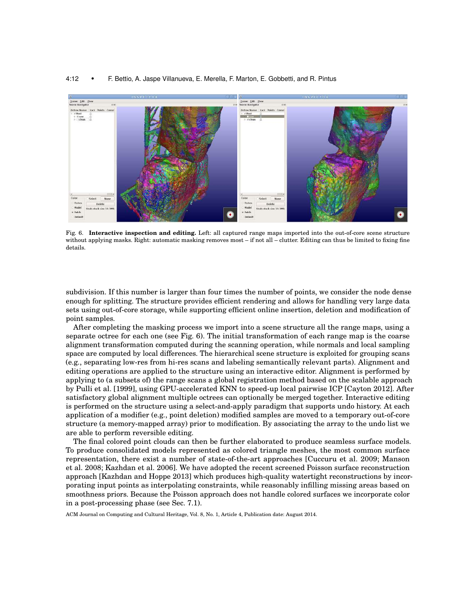#### 4:12 • F. Bettio, A. Jaspe Villanueva, E. Merella, F. Marton, E. Gobbetti, and R. Pintus



Fig. 6. **Interactive inspection and editing.** Left: all captured range maps imported into the out-of-core scene structure without applying masks. Right: automatic masking removes most – if not all – clutter. Editing can thus be limited to fixing fine details.

subdivision. If this number is larger than four times the number of points, we consider the node dense enough for splitting. The structure provides efficient rendering and allows for handling very large data sets using out-of-core storage, while supporting efficient online insertion, deletion and modification of point samples.

After completing the masking process we import into a scene structure all the range maps, using a separate octree for each one (see Fig. 6). The initial transformation of each range map is the coarse alignment transformation computed during the scanning operation, while normals and local sampling space are computed by local differences. The hierarchical scene structure is exploited for grouping scans (e.g., separating low-res from hi-res scans and labeling semantically relevant parts). Alignment and editing operations are applied to the structure using an interactive editor. Alignment is performed by applying to (a subsets of) the range scans a global registration method based on the scalable approach by Pulli et al. [1999], using GPU-accelerated KNN to speed-up local pairwise ICP [Cayton 2012]. After satisfactory global alignment multiple octrees can optionally be merged together. Interactive editing is performed on the structure using a select-and-apply paradigm that supports undo history. At each application of a modifier (e.g., point deletion) modified samples are moved to a temporary out-of-core structure (a memory-mapped array) prior to modification. By associating the array to the undo list we are able to perform reversible editing.

The final colored point clouds can then be further elaborated to produce seamless surface models. To produce consolidated models represented as colored triangle meshes, the most common surface representation, there exist a number of state-of-the-art approaches [Cuccuru et al. 2009; Manson et al. 2008; Kazhdan et al. 2006]. We have adopted the recent screened Poisson surface reconstruction approach [Kazhdan and Hoppe 2013] which produces high-quality watertight reconstructions by incorporating input points as interpolating constraints, while reasonably infilling missing areas based on smoothness priors. Because the Poisson approach does not handle colored surfaces we incorporate color in a post-processing phase (see Sec. 7.1).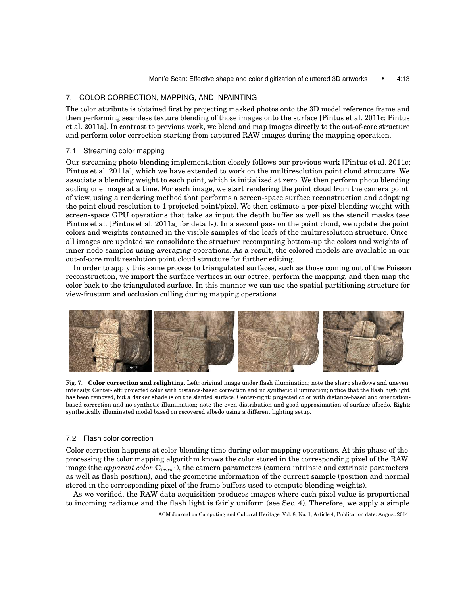## 7. COLOR CORRECTION, MAPPING, AND INPAINTING

The color attribute is obtained first by projecting masked photos onto the 3D model reference frame and then performing seamless texture blending of those images onto the surface [Pintus et al. 2011c; Pintus et al. 2011a]. In contrast to previous work, we blend and map images directly to the out-of-core structure and perform color correction starting from captured RAW images during the mapping operation.

#### 7.1 Streaming color mapping

Our streaming photo blending implementation closely follows our previous work [Pintus et al. 2011c; Pintus et al. 2011a], which we have extended to work on the multiresolution point cloud structure. We associate a blending weight to each point, which is initialized at zero. We then perform photo blending adding one image at a time. For each image, we start rendering the point cloud from the camera point of view, using a rendering method that performs a screen-space surface reconstruction and adapting the point cloud resolution to 1 projected point/pixel. We then estimate a per-pixel blending weight with screen-space GPU operations that take as input the depth buffer as well as the stencil masks (see Pintus et al. [Pintus et al. 2011a] for details). In a second pass on the point cloud, we update the point colors and weights contained in the visible samples of the leafs of the multiresolution structure. Once all images are updated we consolidate the structure recomputing bottom-up the colors and weights of inner node samples using averaging operations. As a result, the colored models are available in our out-of-core multiresolution point cloud structure for further editing.

In order to apply this same process to triangulated surfaces, such as those coming out of the Poisson reconstruction, we import the surface vertices in our octree, perform the mapping, and then map the color back to the triangulated surface. In this manner we can use the spatial partitioning structure for view-frustum and occlusion culling during mapping operations.



Fig. 7. **Color correction and relighting.** Left: original image under flash illumination; note the sharp shadows and uneven intensity. Center-left: projected color with distance-based correction and no synthetic illumination; notice that the flash highlight has been removed, but a darker shade is on the slanted surface. Center-right: projected color with distance-based and orientationbased correction and no synthetic illumination; note the even distribution and good approximation of surface albedo. Right: synthetically illuminated model based on recovered albedo using a different lighting setup.

#### 7.2 Flash color correction

Color correction happens at color blending time during color mapping operations. At this phase of the processing the color mapping algorithm knows the color stored in the corresponding pixel of the RAW image (the  $\emph{apparent color}$   $\mathbf{C}_{(raw)}$ ), the camera parameters (camera intrinsic and extrinsic parameters as well as flash position), and the geometric information of the current sample (position and normal stored in the corresponding pixel of the frame buffers used to compute blending weights).

As we verified, the RAW data acquisition produces images where each pixel value is proportional to incoming radiance and the flash light is fairly uniform (see Sec. 4). Therefore, we apply a simple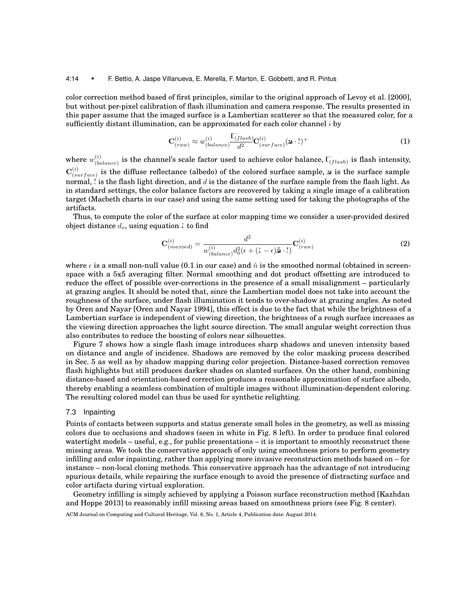#### 4:14 • F. Bettio, A. Jaspe Villanueva, E. Merella, F. Marton, E. Gobbetti, and R. Pintus

color correction method based of first principles, similar to the original approach of Levoy et al. [2000], but without per-pixel calibration of flash illumination and camera response. The results presented in this paper assume that the imaged surface is a Lambertian scatterer so that the measured color, for a sufficiently distant illumination, can be approximated for each color channel  $i$  by

$$
\mathbf{C}_{(raw)}^{(i)} \approx w_{(balance)}^{(i)} \frac{\mathbf{L}_{(flash)}}{d^2} \mathbf{C}_{(surface)}^{(i)} (\mathbf{\mathbf{a}} \cdot \mathbf{I})^+ \tag{1}
$$

where  $w_{loc}^{(i)}$  $\sum_{(balance)}^{(i)}$  is the channel's scale factor used to achieve color balance,  $\widehat{L_{(flash)}}$  is flash intensity,  $\mathbf{C}^{(i)}_{\scriptscriptstyle (es)}$  $\binom{v}{\text{surface}}$  is the diffuse reflectance (albedo) of the colored surface sample, **n** is the surface sample normal,  $l$  is the flash light direction, and  $d$  is the distance of the surface sample from the flash light. As in standard settings, the color balance factors are recovered by taking a single image of a calibration target (Macbeth charts in our case) and using the same setting used for taking the photographs of the artifacts.

Thus, to compute the color of the surface at color mapping time we consider a user-provided desired object distance  $d_o$ , using equation 1 to find

$$
\mathbf{C}_{(mapped)}^{(i)} = \frac{d^2}{w_{(balance)}^{(i)}d_0^2(\epsilon + (1 - \epsilon)\tilde{\mathbf{a}} \cdot \mathbf{I})} \mathbf{C}_{(raw)}^{(i)}
$$
(2)

where  $\epsilon$  is a small non-null value (0.1 in our case) and  $\tilde{n}$  is the smoothed normal (obtained in screenspace with a 5x5 averaging filter. Normal smoothing and dot product offsetting are introduced to reduce the effect of possible over-corrections in the presence of a small misalignment – particularly at grazing angles. It should be noted that, since the Lambertian model does not take into account the roughness of the surface, under flash illumination it tends to over-shadow at grazing angles. As noted by Oren and Nayar [Oren and Nayar 1994], this effect is due to the fact that while the brightness of a Lambertian surface is independent of viewing direction, the brightness of a rough surface increases as the viewing direction approaches the light source direction. The small angular weight correction thus also contributes to reduce the boosting of colors near silhouettes.

Figure 7 shows how a single flash image introduces sharp shadows and uneven intensity based on distance and angle of incidence. Shadows are removed by the color masking process described in Sec. 5 as well as by shadow mapping during color projection. Distance-based correction removes flash highlights but still produces darker shades on slanted surfaces. On the other hand, combining distance-based and orientation-based correction produces a reasonable approximation of surface albedo, thereby enabling a seamless combination of multiple images without illumination-dependent coloring. The resulting colored model can thus be used for synthetic relighting.

#### 7.3 Inpainting

Points of contacts between supports and status generate small holes in the geometry, as well as missing colors due to occlusions and shadows (seen in white in Fig. 8 left). In order to produce final colored watertight models – useful, e.g., for public presentations – it is important to smoothly reconstruct these missing areas. We took the conservative approach of only using smoothness priors to perform geometry infilling and color inpainting, rather than applying more invasive reconstruction methods based on – for instance – non-local cloning methods. This conservative approach has the advantage of not introducing spurious details, while repairing the surface enough to avoid the presence of distracting surface and color artifacts during virtual exploration.

Geometry infilling is simply achieved by applying a Poisson surface reconstruction method [Kazhdan and Hoppe 2013] to reasonably infill missing areas based on smoothness priors (see Fig. 8 center).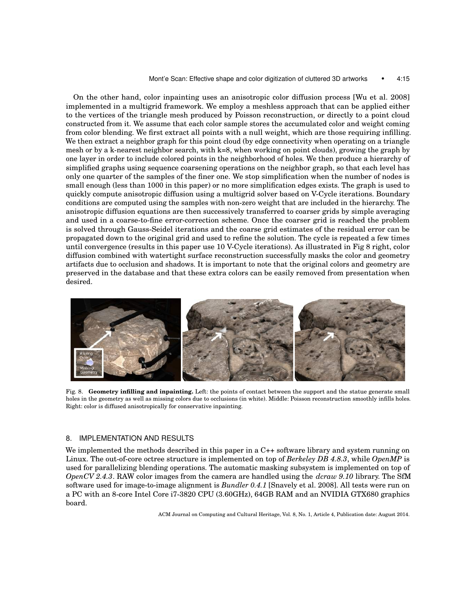#### Mont'e Scan: Effective shape and color digitization of cluttered 3D artworks • 4:15

On the other hand, color inpainting uses an anisotropic color diffusion process [Wu et al. 2008] implemented in a multigrid framework. We employ a meshless approach that can be applied either to the vertices of the triangle mesh produced by Poisson reconstruction, or directly to a point cloud constructed from it. We assume that each color sample stores the accumulated color and weight coming from color blending. We first extract all points with a null weight, which are those requiring infilling. We then extract a neighbor graph for this point cloud (by edge connectivity when operating on a triangle mesh or by a k-nearest neighbor search, with k=8, when working on point clouds), growing the graph by one layer in order to include colored points in the neighborhood of holes. We then produce a hierarchy of simplified graphs using sequence coarsening operations on the neighbor graph, so that each level has only one quarter of the samples of the finer one. We stop simplification when the number of nodes is small enough (less than 1000 in this paper) or no more simplification edges exists. The graph is used to quickly compute anisotropic diffusion using a multigrid solver based on V-Cycle iterations. Boundary conditions are computed using the samples with non-zero weight that are included in the hierarchy. The anisotropic diffusion equations are then successively transferred to coarser grids by simple averaging and used in a coarse-to-fine error-correction scheme. Once the coarser grid is reached the problem is solved through Gauss-Seidel iterations and the coarse grid estimates of the residual error can be propagated down to the original grid and used to refine the solution. The cycle is repeated a few times until convergence (results in this paper use 10 V-Cycle iterations). As illustrated in Fig 8 right, color diffusion combined with watertight surface reconstruction successfully masks the color and geometry artifacts due to occlusion and shadows. It is important to note that the original colors and geometry are preserved in the database and that these extra colors can be easily removed from presentation when desired.



Fig. 8. **Geometry infilling and inpainting.** Left: the points of contact between the support and the statue generate small holes in the geometry as well as missing colors due to occlusions (in white). Middle: Poisson reconstruction smoothly infills holes. Right: color is diffused anisotropically for conservative inpainting.

## 8. IMPLEMENTATION AND RESULTS

We implemented the methods described in this paper in a C++ software library and system running on Linux. The out-of-core octree structure is implemented on top of *Berkeley DB 4.8.3*, while *OpenMP* is used for parallelizing blending operations. The automatic masking subsystem is implemented on top of *OpenCV 2.4.3*. RAW color images from the camera are handled using the *dcraw 9.10* library. The SfM software used for image-to-image alignment is *Bundler 0.4.1* [Snavely et al. 2008]. All tests were run on a PC with an 8-core Intel Core i7-3820 CPU (3.60GHz), 64GB RAM and an NVIDIA GTX680 graphics board.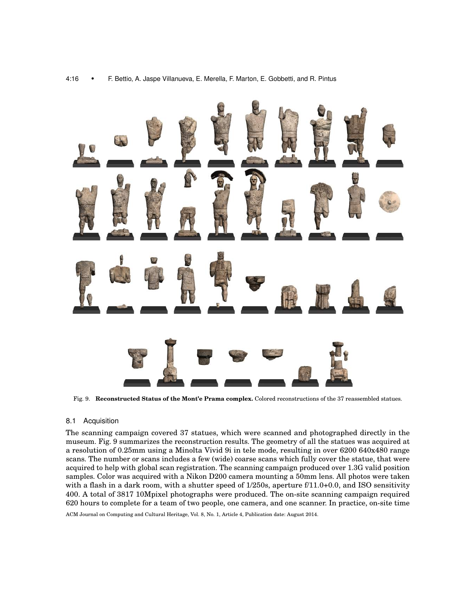

Fig. 9. **Reconstructed Status of the Mont'e Prama complex.** Colored reconstructions of the 37 reassembled statues.

## 8.1 Acquisition

The scanning campaign covered 37 statues, which were scanned and photographed directly in the museum. Fig. 9 summarizes the reconstruction results. The geometry of all the statues was acquired at a resolution of 0.25mm using a Minolta Vivid 9i in tele mode, resulting in over 6200 640x480 range scans. The number or scans includes a few (wide) coarse scans which fully cover the statue, that were acquired to help with global scan registration. The scanning campaign produced over 1.3G valid position samples. Color was acquired with a Nikon D200 camera mounting a 50mm lens. All photos were taken with a flash in a dark room, with a shutter speed of 1/250s, aperture f/11.0+0.0, and ISO sensitivity 400. A total of 3817 10Mpixel photographs were produced. The on-site scanning campaign required 620 hours to complete for a team of two people, one camera, and one scanner. In practice, on-site time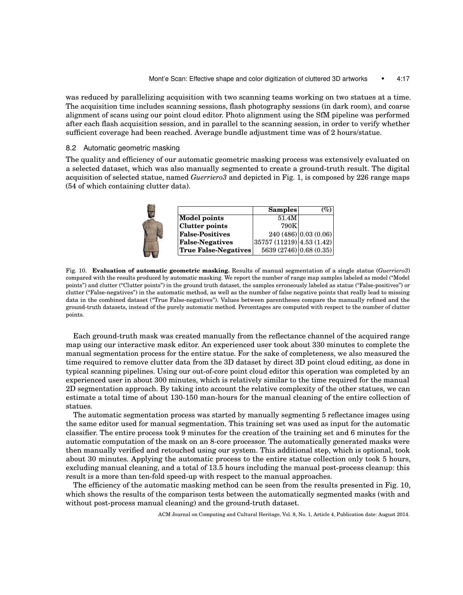was reduced by parallelizing acquisition with two scanning teams working on two statues at a time. The acquisition time includes scanning sessions, flash photography sessions (in dark room), and coarse alignment of scans using our point cloud editor. Photo alignment using the SfM pipeline was performed after each flash acquisition session, and in parallel to the scanning session, in order to verify whether sufficient coverage had been reached. Average bundle adjustment time was of 2 hours/statue.

8.2 Automatic geometric masking

The quality and efficiency of our automatic geometric masking process was extensively evaluated on a selected dataset, which was also manually segmented to create a ground-truth result. The digital acquisition of selected statue, named *Guerriero3* and depicted in Fig. 1, is composed by 226 range maps (54 of which containing clutter data).

|                             | Samples                 | $\%$                 |
|-----------------------------|-------------------------|----------------------|
| <b>Model points</b>         | 51.4M                   |                      |
| <b>Clutter points</b>       | 790K                    |                      |
| <b>False-Positives</b>      |                         | 240(486)[0.03(0.06)] |
| <b>False-Negatives</b>      | 35757(11219) 4.53(1.42) |                      |
| <b>True False-Negatives</b> | 5639 (2746) 0.68 (0.35) |                      |

Fig. 10. **Evaluation of automatic geometric masking.** Results of manual segmentation of a single statue (*Guerriero3*) compared with the results produced by automatic masking. We report the number of range map samples labeled as model ("Model points") and clutter ("Clutter points") in the ground truth dataset, the samples erroneously labeled as statue ("False-positives") or clutter ("False-negatives") in the automatic method, as well as the number of false negative points that really lead to missing data in the combined dataset ("True False-negatives"). Values between parentheses compare the manually refined and the ground-truth datasets, instead of the purely automatic method. Percentages are computed with respect to the number of clutter points.

Each ground-truth mask was created manually from the reflectance channel of the acquired range map using our interactive mask editor. An experienced user took about 330 minutes to complete the manual segmentation process for the entire statue. For the sake of completeness, we also measured the time required to remove clutter data from the 3D dataset by direct 3D point cloud editing, as done in typical scanning pipelines. Using our out-of-core point cloud editor this operation was completed by an experienced user in about 300 minutes, which is relatively similar to the time required for the manual 2D segmentation approach. By taking into account the relative complexity of the other statues, we can estimate a total time of about 130-150 man-hours for the manual cleaning of the entire collection of statues.

The automatic segmentation process was started by manually segmenting 5 reflectance images using the same editor used for manual segmentation. This training set was used as input for the automatic classifier. The entire process took 9 minutes for the creation of the training set and 6 minutes for the automatic computation of the mask on an 8-core processor. The automatically generated masks were then manually verified and retouched using our system. This additional step, which is optional, took about 30 minutes. Applying the automatic process to the entire statue collection only took 5 hours, excluding manual cleaning, and a total of 13.5 hours including the manual post-process cleanup: this result is a more than ten-fold speed-up with respect to the manual approaches.

The efficiency of the automatic masking method can be seen from the results presented in Fig. 10, which shows the results of the comparison tests between the automatically segmented masks (with and without post-process manual cleaning) and the ground-truth dataset.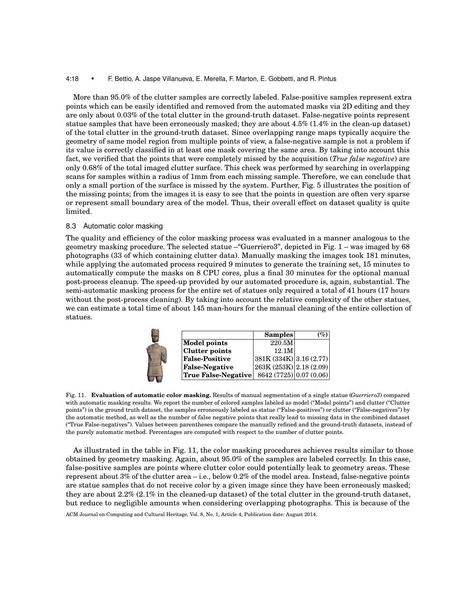#### 4:18 • F. Bettio, A. Jaspe Villanueva, E. Merella, F. Marton, E. Gobbetti, and R. Pintus

More than 95.0% of the clutter samples are correctly labeled. False-positive samples represent extra points which can be easily identified and removed from the automated masks via 2D editing and they are only about 0.03% of the total clutter in the ground-truth dataset. False-negative points represent statue samples that have been erroneously masked; they are about 4.5% (1.4% in the clean-up dataset) of the total clutter in the ground-truth dataset. Since overlapping range maps typically acquire the geometry of same model region from multiple points of view, a false-negative sample is not a problem if its value is correctly classified in at least one mask covering the same area. By taking into account this fact, we verified that the points that were completely missed by the acquisition (*True false negative*) are only 0.68% of the total imaged clutter surface. This check was performed by searching in overlapping scans for samples within a radius of 1mm from each missing sample. Therefore, we can conclude that only a small portion of the surface is missed by the system. Further, Fig. 5 illustrates the position of the missing points; from the images it is easy to see that the points in question are often very sparse or represent small boundary area of the model. Thus, their overall effect on dataset quality is quite limited.

#### 8.3 Automatic color masking

The quality and efficiency of the color masking process was evaluated in a manner analogous to the geometry masking procedure. The selected statue –"Guerriero3", depicted in Fig. 1 – was imaged by 68 photographs (33 of which containing clutter data). Manually masking the images took 181 minutes, while applying the automated process required 9 minutes to generate the training set, 15 minutes to automatically compute the masks on 8 CPU cores, plus a final 30 minutes for the optional manual post-process cleanup. The speed-up provided by our automated procedure is, again, substantial. The semi-automatic masking process for the entire set of statues only required a total of 41 hours (17 hours without the post-process cleaning). By taking into account the relative complexity of the other statues, we can estimate a total time of about 145 man-hours for the manual cleaning of the entire collection of statues.

|                       | <b>Samples</b>          | (%) |
|-----------------------|-------------------------|-----|
| <b>Model points</b>   | 220.5M                  |     |
| <b>Clutter points</b> | 12.1M                   |     |
| <b>False-Positive</b> | 381K(334K) 3.16(2.77)   |     |
| <b>False-Negative</b> | 263K (253K) 2.18 (2.09) |     |
| True False-Negative   | 8642 (7725) 0.07 (0.06) |     |

Fig. 11. **Evaluation of automatic color masking.** Results of manual segmentation of a single statue (*Guerriero3*) compared with automatic masking results. We report the number of colored samples labeled as model ("Model points") and clutter ("Clutter points") in the ground truth dataset, the samples erroneously labeled as statue ("False-positives") or clutter ("False-negatives") by the automatic method, as well as the number of false negative points that really lead to missing data in the combined dataset ("True False-negatives"). Values between parentheses compare the manually refined and the ground-truth datasets, instead of the purely automatic method. Percentages are computed with respect to the number of clutter points.

As illustrated in the table in Fig. 11, the color masking procedures achieves results similar to those obtained by geometry masking. Again, about 95.0% of the samples are labeled correctly. In this case, false-positive samples are points where clutter color could potentially leak to geometry areas. These represent about 3% of the clutter area – i.e., below 0.2% of the model area. Instead, false-negative points are statue samples that do not receive color by a given image since they have been erroneously masked; they are about 2.2% (2.1% in the cleaned-up dataset) of the total clutter in the ground-truth dataset, but reduce to negligible amounts when considering overlapping photographs. This is because of the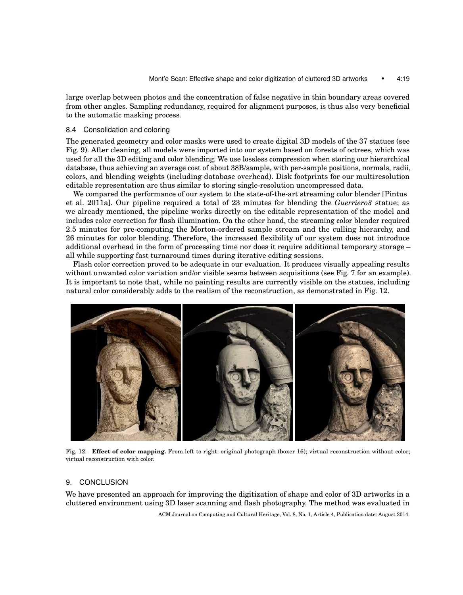large overlap between photos and the concentration of false negative in thin boundary areas covered from other angles. Sampling redundancy, required for alignment purposes, is thus also very beneficial to the automatic masking process.

#### 8.4 Consolidation and coloring

The generated geometry and color masks were used to create digital 3D models of the 37 statues (see Fig. 9). After cleaning, all models were imported into our system based on forests of octrees, which was used for all the 3D editing and color blending. We use lossless compression when storing our hierarchical database, thus achieving an average cost of about 38B/sample, with per-sample positions, normals, radii, colors, and blending weights (including database overhead). Disk footprints for our multiresolution editable representation are thus similar to storing single-resolution uncompressed data.

We compared the performance of our system to the state-of-the-art streaming color blender [Pintus et al. 2011a]. Our pipeline required a total of 23 minutes for blending the *Guerriero3* statue; as we already mentioned, the pipeline works directly on the editable representation of the model and includes color correction for flash illumination. On the other hand, the streaming color blender required 2.5 minutes for pre-computing the Morton-ordered sample stream and the culling hierarchy, and 26 minutes for color blending. Therefore, the increased flexibility of our system does not introduce additional overhead in the form of processing time nor does it require additional temporary storage – all while supporting fast turnaround times during iterative editing sessions.

Flash color correction proved to be adequate in our evaluation. It produces visually appealing results without unwanted color variation and/or visible seams between acquisitions (see Fig. 7 for an example). It is important to note that, while no painting results are currently visible on the statues, including natural color considerably adds to the realism of the reconstruction, as demonstrated in Fig. 12.



Fig. 12. **Effect of color mapping.** From left to right: original photograph (boxer 16); virtual reconstruction without color; virtual reconstruction with color.

## 9. CONCLUSION

We have presented an approach for improving the digitization of shape and color of 3D artworks in a cluttered environment using 3D laser scanning and flash photography. The method was evaluated in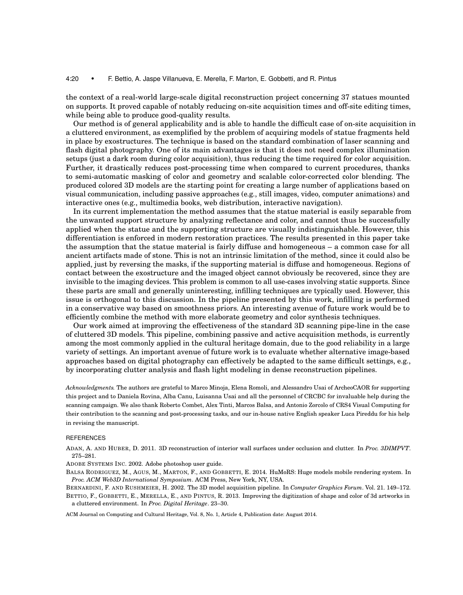#### 4:20 • F. Bettio, A. Jaspe Villanueva, E. Merella, F. Marton, E. Gobbetti, and R. Pintus

the context of a real-world large-scale digital reconstruction project concerning 37 statues mounted on supports. It proved capable of notably reducing on-site acquisition times and off-site editing times, while being able to produce good-quality results.

Our method is of general applicability and is able to handle the difficult case of on-site acquisition in a cluttered environment, as exemplified by the problem of acquiring models of statue fragments held in place by exostructures. The technique is based on the standard combination of laser scanning and flash digital photography. One of its main advantages is that it does not need complex illumination setups (just a dark room during color acquisition), thus reducing the time required for color acquisition. Further, it drastically reduces post-processing time when compared to current procedures, thanks to semi-automatic masking of color and geometry and scalable color-corrected color blending. The produced colored 3D models are the starting point for creating a large number of applications based on visual communication, including passive approaches (e.g., still images, video, computer animations) and interactive ones (e.g., multimedia books, web distribution, interactive navigation).

In its current implementation the method assumes that the statue material is easily separable from the unwanted support structure by analyzing reflectance and color, and cannot thus be successfully applied when the statue and the supporting structure are visually indistinguishable. However, this differentiation is enforced in modern restoration practices. The results presented in this paper take the assumption that the statue material is fairly diffuse and homogeneous – a common case for all ancient artifacts made of stone. This is not an intrinsic limitation of the method, since it could also be applied, just by reversing the masks, if the supporting material is diffuse and homogeneous. Regions of contact between the exostructure and the imaged object cannot obviously be recovered, since they are invisible to the imaging devices. This problem is common to all use-cases involving static supports. Since these parts are small and generally uninteresting, infilling techniques are typically used. However, this issue is orthogonal to this discussion. In the pipeline presented by this work, infilling is performed in a conservative way based on smoothness priors. An interesting avenue of future work would be to efficiently combine the method with more elaborate geometry and color synthesis techniques.

Our work aimed at improving the effectiveness of the standard 3D scanning pipe-line in the case of cluttered 3D models. This pipeline, combining passive and active acquisition methods, is currently among the most commonly applied in the cultural heritage domain, due to the good reliability in a large variety of settings. An important avenue of future work is to evaluate whether alternative image-based approaches based on digital photography can effectively be adapted to the same difficult settings, e.g., by incorporating clutter analysis and flash light modeling in dense reconstruction pipelines.

*Acknowledgments.* The authors are grateful to Marco Minoja, Elena Romoli, and Alessandro Usai of ArcheoCAOR for supporting this project and to Daniela Rovina, Alba Canu, Luisanna Usai and all the personnel of CRCBC for invaluable help during the scanning campaign. We also thank Roberto Combet, Alex Tinti, Marcos Balsa, and Antonio Zorcolo of CRS4 Visual Computing for their contribution to the scanning and post-processing tasks, and our in-house native English speaker Luca Pireddu for his help in revising the manuscript.

#### REFERENCES

ADAN, A. AND HUBER, D. 2011. 3D reconstruction of interior wall surfaces under occlusion and clutter. In *Proc. 3DIMPVT*. 275–281.

ADOBE SYSTEMS INC. 2002. Adobe photoshop user guide.

BALSA RODRIGUEZ, M., AGUS, M., MARTON, F., AND GOBBETTI, E. 2014. HuMoRS: Huge models mobile rendering system. In *Proc. ACM Web3D International Symposium*. ACM Press, New York, NY, USA.

BERNARDINI, F. AND RUSHMEIER, H. 2002. The 3D model acquisition pipeline. In *Computer Graphics Forum*. Vol. 21. 149–172. BETTIO, F., GOBBETTI, E., MERELLA, E., AND PINTUS, R. 2013. Improving the digitization of shape and color of 3d artworks in a cluttered environment. In *Proc. Digital Heritage*. 23–30.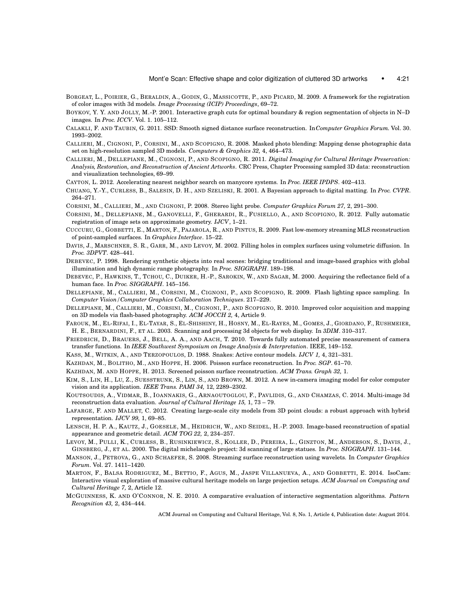- BORGEAT, L., POIRIER, G., BERALDIN, A., GODIN, G., MASSICOTTE, P., AND PICARD, M. 2009. A framework for the registration of color images with 3d models. *Image Processing (ICIP) Proceedings*, 69–72.
- BOYKOV, Y. Y. AND JOLLY, M.-P. 2001. Interactive graph cuts for optimal boundary & region segmentation of objects in N–D images. In *Proc. ICCV*. Vol. 1. 105–112.
- CALAKLI, F. AND TAUBIN, G. 2011. SSD: Smooth signed distance surface reconstruction. In*Computer Graphics Forum*. Vol. 30. 1993–2002.
- CALLIERI, M., CIGNONI, P., CORSINI, M., AND SCOPIGNO, R. 2008. Masked photo blending: Mapping dense photographic data set on high-resolution sampled 3D models. *Computers & Graphics 32,* 4, 464–473.
- CALLIERI, M., DELLEPIANE, M., CIGNONI, P., AND SCOPIGNO, R. 2011. *Digital Imaging for Cultural Heritage Preservation: Analysis, Restoration, and Reconstruction of Ancient Artworks*. CRC Press, Chapter Processing sampled 3D data: reconstruction and visualization technologies, 69–99.
- CAYTON, L. 2012. Accelerating nearest neighbor search on manycore systems. In *Proc. IEEE IPDPS*. 402–413.
- CHUANG, Y.-Y., CURLESS, B., SALESIN, D. H., AND SZELISKI, R. 2001. A Bayesian approach to digital matting. In *Proc. CVPR*. 264–271.
- CORSINI, M., CALLIERI, M., AND CIGNONI, P. 2008. Stereo light probe. *Computer Graphics Forum 27,* 2, 291–300.
- CORSINI, M., DELLEPIANE, M., GANOVELLI, F., GHERARDI, R., FUSIELLO, A., AND SCOPIGNO, R. 2012. Fully automatic registration of image sets on approximate geometry. *IJCV*, 1–21.
- CUCCURU, G., GOBBETTI, E., MARTON, F., PAJAROLA, R., AND PINTUS, R. 2009. Fast low-memory streaming MLS reconstruction of point-sampled surfaces. In *Graphics Interface*. 15–22.
- DAVIS, J., MARSCHNER, S. R., GARR, M., AND LEVOY, M. 2002. Filling holes in complex surfaces using volumetric diffusion. In *Proc. 3DPVT*. 428–441.
- DEBEVEC, P. 1998. Rendering synthetic objects into real scenes: bridging traditional and image-based graphics with global illumination and high dynamic range photography. In *Proc. SIGGRAPH*. 189–198.
- DEBEVEC, P., HAWKINS, T., TCHOU, C., DUIKER, H.-P., SAROKIN, W., AND SAGAR, M. 2000. Acquiring the reflectance field of a human face. In *Proc. SIGGRAPH*. 145–156.
- DELLEPIANE, M., CALLIERI, M., CORSINI, M., CIGNONI, P., AND SCOPIGNO, R. 2009. Flash lighting space sampling. In *Computer Vision/Computer Graphics Collaboration Techniques*. 217–229.
- DELLEPIANE, M., CALLIERI, M., CORSINI, M., CIGNONI, P., AND SCOPIGNO, R. 2010. Improved color acquisition and mapping on 3D models via flash-based photography. *ACM JOCCH 2,* 4, Article 9.
- FAROUK, M., EL-RIFAI, I., EL-TAYAR, S., EL-SHISHINY, H., HOSNY, M., EL-RAYES, M., GOMES, J., GIORDANO, F., RUSHMEIER, H. E., BERNARDINI, F., ET AL. 2003. Scanning and processing 3d objects for web display. In *3DIM*. 310–317.
- FRIEDRICH, D., BRAUERS, J., BELL, A. A., AND AACH, T. 2010. Towards fully automated precise measurement of camera transfer functions. In *IEEE Southwest Symposium on Image Analysis & Interpretation*. IEEE, 149–152.
- KASS, M., WITKIN, A., AND TERZOPOULOS, D. 1988. Snakes: Active contour models. *IJCV 1,* 4, 321–331.
- KAZHDAN, M., BOLITHO, M., AND HOPPE, H. 2006. Poisson surface reconstruction. In *Proc. SGP*. 61–70.
- KAZHDAN, M. AND HOPPE, H. 2013. Screened poisson surface reconstruction. *ACM Trans. Graph 32,* 1.
- KIM, S., LIN, H., LU, Z., SUESSTRUNK, S., LIN, S., AND BROWN, M. 2012. A new in-camera imaging model for color computer vision and its application. *IEEE Trans. PAMI 34,* 12, 2289–2302.
- KOUTSOUDIS, A., VIDMAR, B., IOANNAKIS, G., ARNAOUTOGLOU, F., PAVLIDIS, G., AND CHAMZAS, C. 2014. Multi-image 3d reconstruction data evaluation. *Journal of Cultural Heritage 15,* 1, 73 – 79.
- LAFARGE, F. AND MALLET, C. 2012. Creating large-scale city models from 3D point clouds: a robust approach with hybrid representation. *IJCV 99,* 1, 69–85.
- LENSCH, H. P. A., KAUTZ, J., GOESELE, M., HEIDRICH, W., AND SEIDEL, H.-P. 2003. Image-based reconstruction of spatial appearance and geometric detail. *ACM TOG 22,* 2, 234–257.
- LEVOY, M., PULLI, K., CURLESS, B., RUSINKIEWICZ, S., KOLLER, D., PEREIRA, L., GINZTON, M., ANDERSON, S., DAVIS, J., GINSBERG, J., ET AL. 2000. The digital michelangelo project: 3d scanning of large statues. In *Proc. SIGGRAPH*. 131–144.
- MANSON, J., PETROVA, G., AND SCHAEFER, S. 2008. Streaming surface reconstruction using wavelets. In *Computer Graphics Forum*. Vol. 27. 1411–1420.
- MARTON, F., BALSA RODRIGUEZ, M., BETTIO, F., AGUS, M., JASPE VILLANUEVA, A., AND GOBBETTI, E. 2014. IsoCam: Interactive visual exploration of massive cultural heritage models on large projection setups. *ACM Journal on Computing and Cultural Heritage 7,* 2, Article 12.
- MCGUINNESS, K. AND O'CONNOR, N. E. 2010. A comparative evaluation of interactive segmentation algorithms. *Pattern Recognition 43,* 2, 434–444.